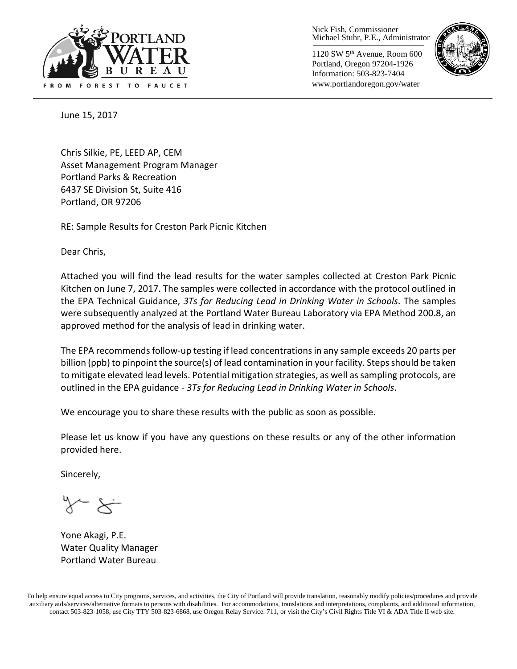

Nick Fish, Commissioner Michael Stuhr, P.E., Administrator

1120 SW 5th Avenue, Room 600 Portland, Oregon 97204-1926 Information: 503-823-7404 www.portlandoregon.gov/water



June 15, 2017

Chris Silkie, PE, LEED AP, CEM Asset Management Program Manager Portland Parks & Recreation 6437 SE Division St, Suite 416 Portland, OR 97206

RE: Sample Results for Creston Park Picnic Kitchen

Dear Chris,

Attached you will find the lead results for the water samples collected at Creston Park Picnic Kitchen on June 7, 2017. The samples were collected in accordance with the protocol outlined in the EPA Technical Guidance, *3Ts for Reducing Lead in Drinking Water in Schools*. The samples were subsequently analyzed at the Portland Water Bureau Laboratory via EPA Method 200.8, an approved method for the analysis of lead in drinking water.

The EPA recommends follow-up testing if lead concentrations in any sample exceeds 20 parts per billion (ppb) to pinpoint the source(s) of lead contamination in your facility. Steps should be taken to mitigate elevated lead levels. Potential mitigation strategies, as well as sampling protocols, are outlined in the EPA guidance - *3Ts for Reducing Lead in Drinking Water in Schools*.

We encourage you to share these results with the public as soon as possible.

Please let us know if you have any questions on these results or any of the other information provided here.

Sincerely,

Yone Akagi, P.E. Water Quality Manager Portland Water Bureau

To help ensure equal access to City programs, services, and activities, the City of Portland will provide translation, reasonably modify policies/procedures and provide auxiliary aids/services/alternative formats to persons with disabilities. For accommodations, translations and interpretations, complaints, and additional information, contact 503-823-1058, use City TTY 503-823-6868, use Oregon Relay Service: 711, or visi[t the City's Civil Rights Title VI & ADA Title II web site.](http://www.portlandoregon.gov/oehr/66458)